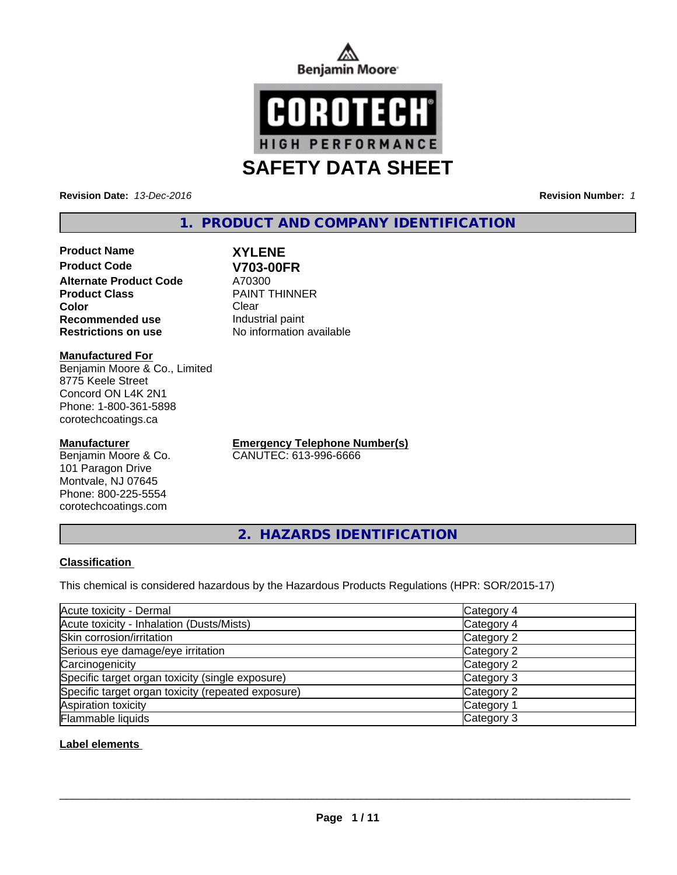



**Revision Date:** *13-Dec-2016* **Revision Number:** *1*

# **1. PRODUCT AND COMPANY IDENTIFICATION**

**Product Name XYLENE Product Code V703-00FR**<br> **Alternate Product Code** A70300 **Alternate Product Code**<br>Product Class **Color** Clear Clear **Recommended use** Industrial paint

**PAINT THINNER Restrictions on use** No information available

#### **Manufactured For**

Benjamin Moore & Co., Limited 8775 Keele Street Concord ON L4K 2N1 Phone: 1-800-361-5898 corotechcoatings.ca

## **Manufacturer**

Benjamin Moore & Co. 101 Paragon Drive Montvale, NJ 07645 Phone: 800-225-5554 corotechcoatings.com

**Emergency Telephone Number(s)** CANUTEC: 613-996-6666

**2. HAZARDS IDENTIFICATION**

## **Classification**

This chemical is considered hazardous by the Hazardous Products Regulations (HPR: SOR/2015-17)

| Acute toxicity - Dermal                            | Category 4            |
|----------------------------------------------------|-----------------------|
| Acute toxicity - Inhalation (Dusts/Mists)          | Category 4            |
| Skin corrosion/irritation                          | Category 2            |
| Serious eye damage/eye irritation                  | Category 2            |
| Carcinogenicity                                    | Category 2            |
| Specific target organ toxicity (single exposure)   | Category 3            |
| Specific target organ toxicity (repeated exposure) | Category 2            |
| Aspiration toxicity                                | Category <sup>2</sup> |
| Flammable liquids                                  | Category 3            |

## **Label elements**

 $\overline{\phantom{a}}$  ,  $\overline{\phantom{a}}$  ,  $\overline{\phantom{a}}$  ,  $\overline{\phantom{a}}$  ,  $\overline{\phantom{a}}$  ,  $\overline{\phantom{a}}$  ,  $\overline{\phantom{a}}$  ,  $\overline{\phantom{a}}$  ,  $\overline{\phantom{a}}$  ,  $\overline{\phantom{a}}$  ,  $\overline{\phantom{a}}$  ,  $\overline{\phantom{a}}$  ,  $\overline{\phantom{a}}$  ,  $\overline{\phantom{a}}$  ,  $\overline{\phantom{a}}$  ,  $\overline{\phantom{a}}$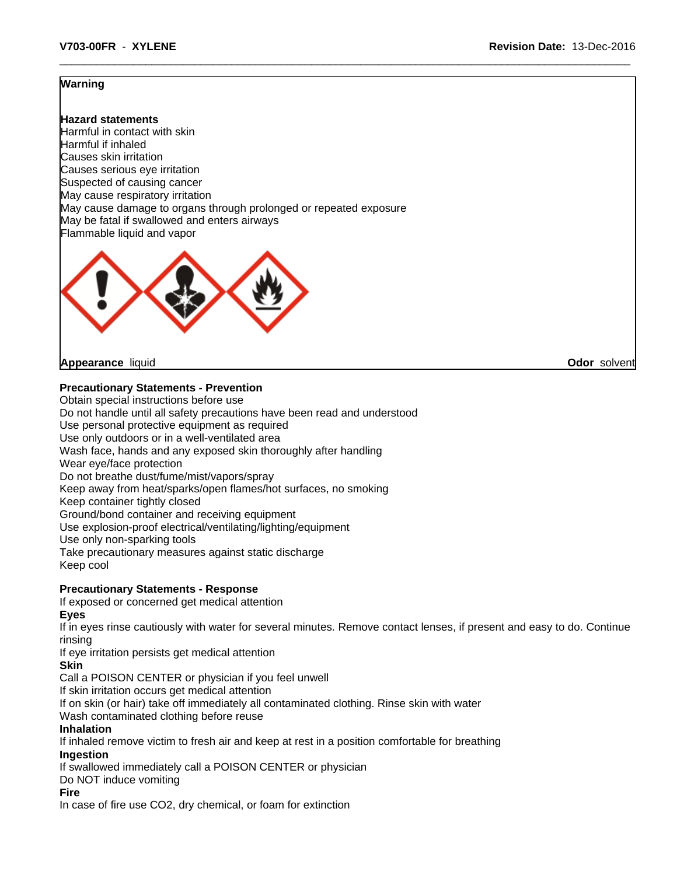## **Warning**

**Hazard statements** Harmful in contact with skin Harmful if inhaled Causes skin irritation Causes serious eye irritation Suspected of causing cancer May cause respiratory irritation May cause damage to organs through prolonged or repeated exposure May be fatal if swallowed and enters airways Flammable liquid and vapor



**Appearance** liquid **Odor** solvent

## **Precautionary Statements - Prevention**

Obtain special instructions before use

Do not handle until all safety precautions have been read and understood

Use personal protective equipment as required

Use only outdoors or in a well-ventilated area

Wash face, hands and any exposed skin thoroughly after handling

Wear eye/face protection

Do not breathe dust/fume/mist/vapors/spray

Keep away from heat/sparks/open flames/hot surfaces, no smoking

Keep container tightly closed

Ground/bond container and receiving equipment

Use explosion-proof electrical/ventilating/lighting/equipment

Use only non-sparking tools

Take precautionary measures against static discharge

Keep cool

## **Precautionary Statements - Response**

If exposed or concerned get medical attention

**Eyes**

If in eyes rinse cautiously with water for several minutes. Remove contact lenses, if present and easy to do. Continue rinsing

If eye irritation persists get medical attention

## **Skin**

Call a POISON CENTER or physician if you feel unwell

If skin irritation occurs get medical attention

If on skin (or hair) take off immediately all contaminated clothing. Rinse skin with water

Wash contaminated clothing before reuse

## **Inhalation**

If inhaled remove victim to fresh air and keep at rest in a position comfortable for breathing

**Ingestion**

If swallowed immediately call a POISON CENTER or physician

Do NOT induce vomiting

## **Fire**

In case of fire use CO2, dry chemical, or foam for extinction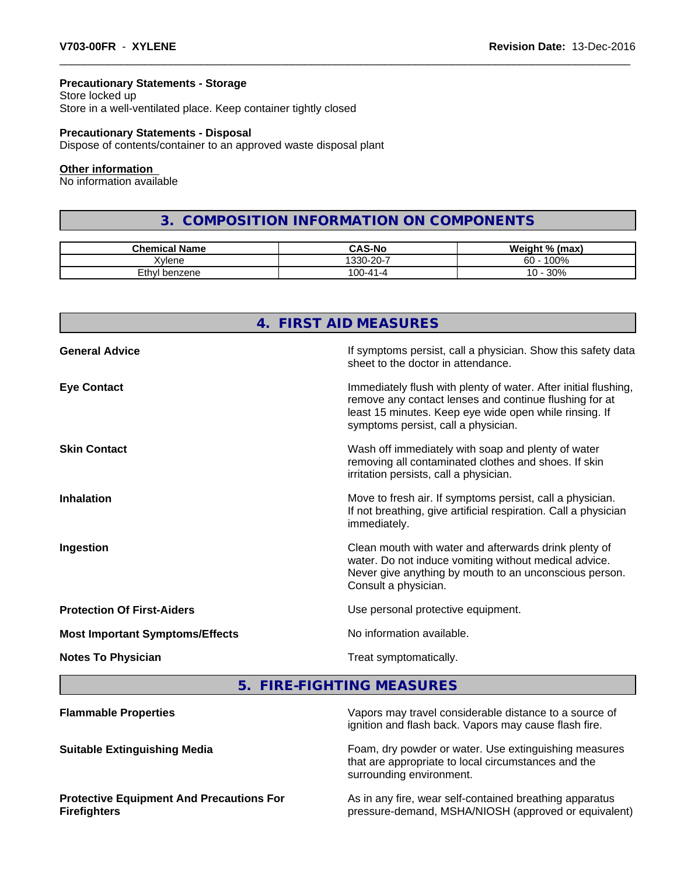## **Precautionary Statements - Storage**

Store locked up Store in a well-ventilated place. Keep container tightly closed

## **Precautionary Statements - Disposal**

Dispose of contents/container to an approved waste disposal plant

#### **Other information**

No information available

# **3. COMPOSITION INFORMATION ON COMPONENTS**

| <b>Chemical Name</b> | <b>CAS-No</b>              | Weight % (max) |
|----------------------|----------------------------|----------------|
| <b>Xvlene</b>        | $\sim$ $\sim$<br>$330-20-$ | 100%<br>60     |
| Ethyl<br>' benzene   | חה ו<br>- 1-41-4<br>vu     | 30%<br>៱<br>v  |

|                                        | 4. FIRST AID MEASURES                                                                                                                                                                                                      |
|----------------------------------------|----------------------------------------------------------------------------------------------------------------------------------------------------------------------------------------------------------------------------|
| <b>General Advice</b>                  | If symptoms persist, call a physician. Show this safety data<br>sheet to the doctor in attendance.                                                                                                                         |
| <b>Eye Contact</b>                     | Immediately flush with plenty of water. After initial flushing,<br>remove any contact lenses and continue flushing for at<br>least 15 minutes. Keep eye wide open while rinsing. If<br>symptoms persist, call a physician. |
| <b>Skin Contact</b>                    | Wash off immediately with soap and plenty of water<br>removing all contaminated clothes and shoes. If skin<br>irritation persists, call a physician.                                                                       |
| <b>Inhalation</b>                      | Move to fresh air. If symptoms persist, call a physician.<br>If not breathing, give artificial respiration. Call a physician<br>immediately.                                                                               |
| Ingestion                              | Clean mouth with water and afterwards drink plenty of<br>water. Do not induce vomiting without medical advice.<br>Never give anything by mouth to an unconscious person.<br>Consult a physician.                           |
| <b>Protection Of First-Aiders</b>      | Use personal protective equipment.                                                                                                                                                                                         |
| <b>Most Important Symptoms/Effects</b> | No information available.                                                                                                                                                                                                  |
| <b>Notes To Physician</b>              | Treat symptomatically.                                                                                                                                                                                                     |

**5. FIRE-FIGHTING MEASURES**

| <b>Flammable Properties</b>                                            | Vapors may travel considerable distance to a source of<br>ignition and flash back. Vapors may cause flash fire.                          |
|------------------------------------------------------------------------|------------------------------------------------------------------------------------------------------------------------------------------|
| <b>Suitable Extinguishing Media</b>                                    | Foam, dry powder or water. Use extinguishing measures<br>that are appropriate to local circumstances and the<br>surrounding environment. |
| <b>Protective Equipment And Precautions For</b><br><b>Firefighters</b> | As in any fire, wear self-contained breathing apparatus<br>pressure-demand, MSHA/NIOSH (approved or equivalent)                          |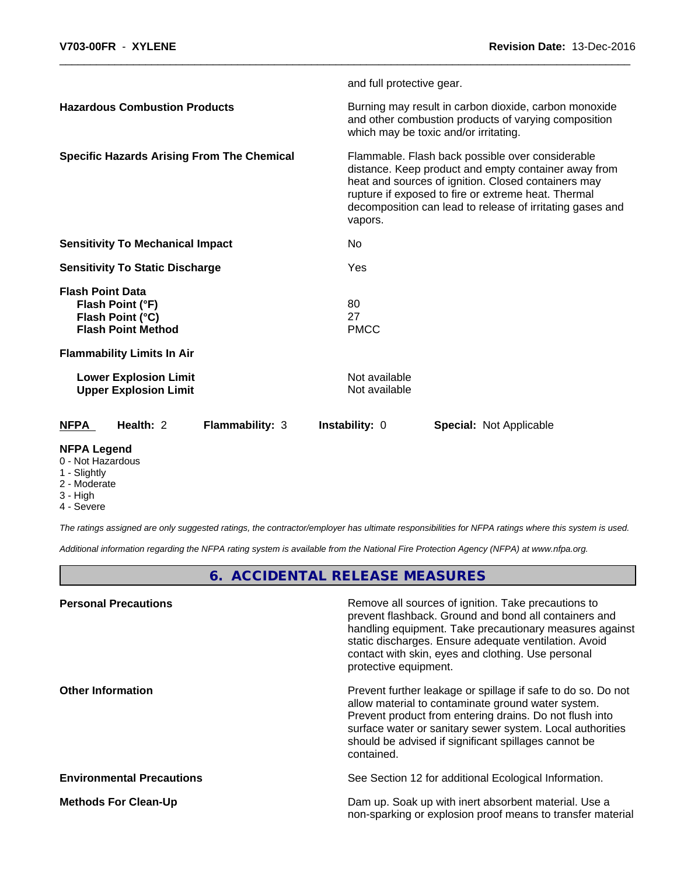|                                                                                              | and full protective gear.                                                                                                                                                                                                                                                                      |
|----------------------------------------------------------------------------------------------|------------------------------------------------------------------------------------------------------------------------------------------------------------------------------------------------------------------------------------------------------------------------------------------------|
| <b>Hazardous Combustion Products</b>                                                         | Burning may result in carbon dioxide, carbon monoxide<br>and other combustion products of varying composition<br>which may be toxic and/or irritating.                                                                                                                                         |
| <b>Specific Hazards Arising From The Chemical</b>                                            | Flammable. Flash back possible over considerable<br>distance. Keep product and empty container away from<br>heat and sources of ignition. Closed containers may<br>rupture if exposed to fire or extreme heat. Thermal<br>decomposition can lead to release of irritating gases and<br>vapors. |
| <b>Sensitivity To Mechanical Impact</b>                                                      | No                                                                                                                                                                                                                                                                                             |
| <b>Sensitivity To Static Discharge</b>                                                       | Yes                                                                                                                                                                                                                                                                                            |
| <b>Flash Point Data</b><br>Flash Point (°F)<br>Flash Point (°C)<br><b>Flash Point Method</b> | 80<br>27<br><b>PMCC</b>                                                                                                                                                                                                                                                                        |
| <b>Flammability Limits In Air</b>                                                            |                                                                                                                                                                                                                                                                                                |
| <b>Lower Explosion Limit</b><br><b>Upper Explosion Limit</b>                                 | Not available<br>Not available                                                                                                                                                                                                                                                                 |
| <b>NFPA</b><br>Health: 2<br><b>Flammability: 3</b>                                           | <b>Instability: 0</b><br><b>Special: Not Applicable</b>                                                                                                                                                                                                                                        |
| <b>NIMA I</b> 1                                                                              |                                                                                                                                                                                                                                                                                                |

## **NFPA Legend**

## 0 - Not Hazardous

- 1 Slightly
- 2 Moderate
- 3 High
- 4 Severe

*The ratings assigned are only suggested ratings, the contractor/employer has ultimate responsibilities for NFPA ratings where this system is used.*

*Additional information regarding the NFPA rating system is available from the National Fire Protection Agency (NFPA) at www.nfpa.org.*

# **6. ACCIDENTAL RELEASE MEASURES**

| Remove all sources of ignition. Take precautions to<br>prevent flashback. Ground and bond all containers and<br>handling equipment. Take precautionary measures against<br>static discharges. Ensure adequate ventilation. Avoid<br>contact with skin, eyes and clothing. Use personal<br>protective equipment.  |
|------------------------------------------------------------------------------------------------------------------------------------------------------------------------------------------------------------------------------------------------------------------------------------------------------------------|
| Prevent further leakage or spillage if safe to do so. Do not<br>allow material to contaminate ground water system.<br>Prevent product from entering drains. Do not flush into<br>surface water or sanitary sewer system. Local authorities<br>should be advised if significant spillages cannot be<br>contained. |
| See Section 12 for additional Ecological Information.                                                                                                                                                                                                                                                            |
| Dam up. Soak up with inert absorbent material. Use a<br>non-sparking or explosion proof means to transfer material                                                                                                                                                                                               |
|                                                                                                                                                                                                                                                                                                                  |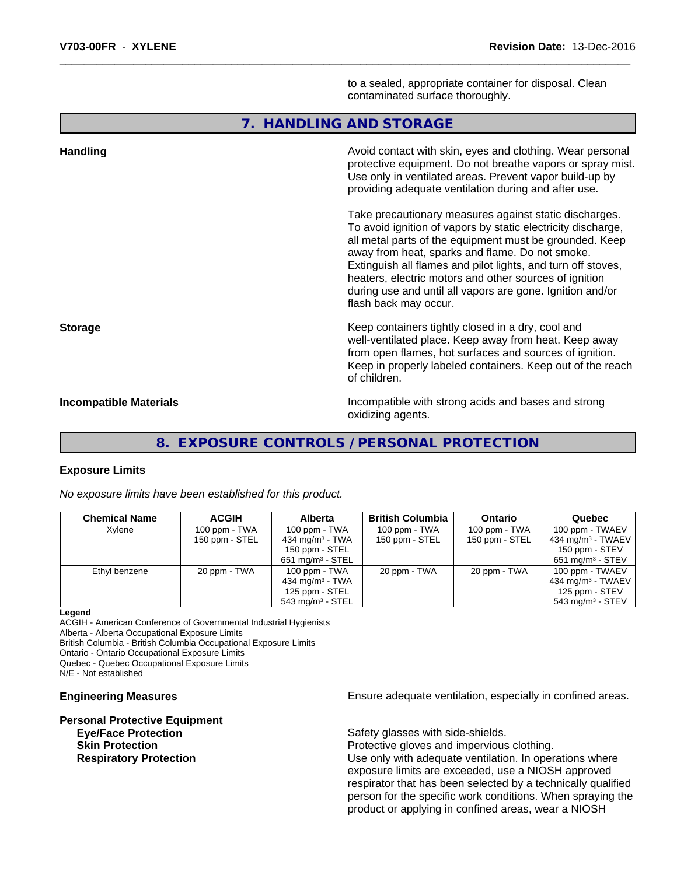to a sealed, appropriate container for disposal. Clean contaminated surface thoroughly.

## **7. HANDLING AND STORAGE**

| <b>Handling</b>               | Avoid contact with skin, eyes and clothing. Wear personal<br>protective equipment. Do not breathe vapors or spray mist.<br>Use only in ventilated areas. Prevent vapor build-up by<br>providing adequate ventilation during and after use.                                                                                                                                                                                                           |
|-------------------------------|------------------------------------------------------------------------------------------------------------------------------------------------------------------------------------------------------------------------------------------------------------------------------------------------------------------------------------------------------------------------------------------------------------------------------------------------------|
|                               | Take precautionary measures against static discharges.<br>To avoid ignition of vapors by static electricity discharge,<br>all metal parts of the equipment must be grounded. Keep<br>away from heat, sparks and flame. Do not smoke.<br>Extinguish all flames and pilot lights, and turn off stoves,<br>heaters, electric motors and other sources of ignition<br>during use and until all vapors are gone. Ignition and/or<br>flash back may occur. |
| <b>Storage</b>                | Keep containers tightly closed in a dry, cool and<br>well-ventilated place. Keep away from heat. Keep away<br>from open flames, hot surfaces and sources of ignition.<br>Keep in properly labeled containers. Keep out of the reach<br>of children.                                                                                                                                                                                                  |
| <b>Incompatible Materials</b> | Incompatible with strong acids and bases and strong<br>oxidizing agents.                                                                                                                                                                                                                                                                                                                                                                             |

## **8. EXPOSURE CONTROLS / PERSONAL PROTECTION**

## **Exposure Limits**

*No exposure limits have been established for this product.*

| <b>Chemical Name</b> | <b>ACGIH</b>   | <b>Alberta</b>               | <b>British Columbia</b> | <b>Ontario</b> | Quebec                         |
|----------------------|----------------|------------------------------|-------------------------|----------------|--------------------------------|
| Xylene               | 100 ppm - TWA  | 100 ppm - TWA                | 100 ppm - TWA           | 100 ppm - TWA  | 100 ppm - TWAEV                |
|                      | 150 ppm - STEL | 434 mg/m <sup>3</sup> - TWA  | 150 ppm - STEL          | 150 ppm - STEL | $1434 \text{ mg/m}^3$ - TWAEV  |
|                      |                | 150 ppm - STEL               |                         |                | 150 ppm - STEV                 |
|                      |                | $651 \text{ mg/m}^3$ - STEL  |                         |                | $651 \text{ ma/m}^3$ - STEV    |
| Ethyl benzene        | 20 ppm - TWA   | $100$ ppm - TWA              | 20 ppm - TWA            | 20 ppm - TWA   | 100 ppm - TWAEV                |
|                      |                | 434 mg/m $3 - TWA$           |                         |                | 434 mg/m $3$ - TWAEV           |
|                      |                | 125 ppm - STEL               |                         |                | 125 ppm - STEV                 |
|                      |                | 543 mg/m <sup>3</sup> - STEL |                         |                | $543$ mg/m <sup>3</sup> - STEV |

#### **Legend**

ACGIH - American Conference of Governmental Industrial Hygienists

Alberta - Alberta Occupational Exposure Limits

British Columbia - British Columbia Occupational Exposure Limits

Ontario - Ontario Occupational Exposure Limits

Quebec - Quebec Occupational Exposure Limits

N/E - Not established

**Personal Protective Equipment**

**Engineering Measures Ensure adequate ventilation, especially in confined areas.** 

**Eye/Face Protection Safety glasses with side-shields.** 

**Skin Protection Protection Protective gloves and impervious clothing. Respiratory Protection Network 10 Algebra 10 Million** Use only with adequate ventilation. In operations where exposure limits are exceeded, use a NIOSH approved respirator that has been selected by a technically qualified person for the specific work conditions. When spraying the product or applying in confined areas, wear a NIOSH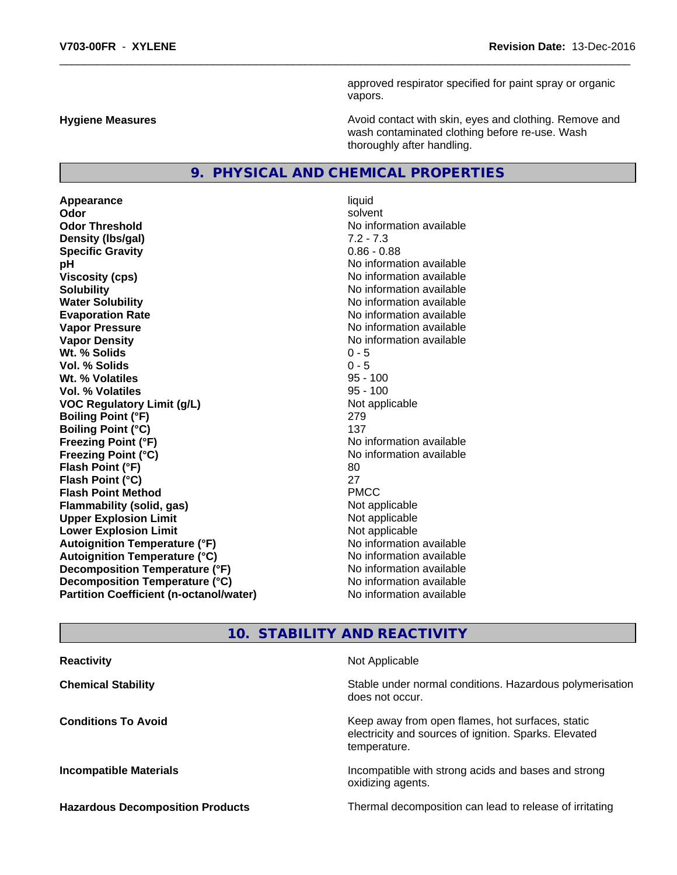approved respirator specified for paint spray or organic vapors.

**Hygiene Measures Avoid contact with skin, eyes and clothing. Remove and Avoid contact with skin, eyes and clothing. Remove and Avoid contact with skin, eyes and clothing. Remove and** wash contaminated clothing before re-use. Wash thoroughly after handling.

## **9. PHYSICAL AND CHEMICAL PROPERTIES**

**Appearance** liquid **Odor** solvent **Odor Threshold**<br> **Density (Ibs/aal)**<br> **Density (Ibs/aal)**<br> **Density (Ibs/aal)**<br> **Density (Ibs/aal) Density (Ibs/gal) Specific Gravity** 0.86 - 0.88 **pH pH**  $\blacksquare$ **Viscosity (cps)** No information available **Solubility** No information available in the solution of the North Solution available in the Solution of the North Solution available in the North Solution available in the North Solution available in the North Solution of **Water Solubility** No information available **Evaporation Rate No information available**<br> **Vapor Pressure No information available**<br>
No information available **Vapor Density Value 2018** No information available **Wt. % Solids** 0 - 5 **Vol. % Solids** 0 - 5 **Wt. % Volatiles** 95 - 100 **Vol. % Volatiles VOC** Regulatory Limit (g/L) Not applicable **Boiling Point (°F)** 279 **Boiling Point (°C)** 137 **Freezing Point (°F)**<br> **Freezing Point (°C)**<br> **Freezing Point (°C)**<br> **Reezing Point (°C)**<br> **Reezing Point (°C) Flash Point (°F)** 80 **Flash Point (°C)** 27 **Flash Point Method** PMCC **Flammability (solid, gas)**<br> **Compare Upper Explosion Limit**<br>
Not applicable<br>
Not applicable **Upper Explosion Limit Lower Explosion Limit Contract Contract Contract Contract Contract Contract Contract Contract Contract Contract Contract Contract Contract Contract Contract Contract Contract Contract Contract Contract Contract Contract Autoignition Temperature (°F)** No information available **Autoignition Temperature (°C)** No information available **Decomposition Temperature (°F)** No information available **Decomposition Temperature (°C)** No information available **Partition Coefficient (n-octanol/water) No information available** 

**No information available Freezing Point (°C)** No information available

# **10. STABILITY AND REACTIVITY**

| <b>Reactivity</b>                       | Not Applicable                                                                                                            |
|-----------------------------------------|---------------------------------------------------------------------------------------------------------------------------|
| <b>Chemical Stability</b>               | Stable under normal conditions. Hazardous polymerisation<br>does not occur.                                               |
| <b>Conditions To Avoid</b>              | Keep away from open flames, hot surfaces, static<br>electricity and sources of ignition. Sparks. Elevated<br>temperature. |
| <b>Incompatible Materials</b>           | Incompatible with strong acids and bases and strong<br>oxidizing agents.                                                  |
| <b>Hazardous Decomposition Products</b> | Thermal decomposition can lead to release of irritating                                                                   |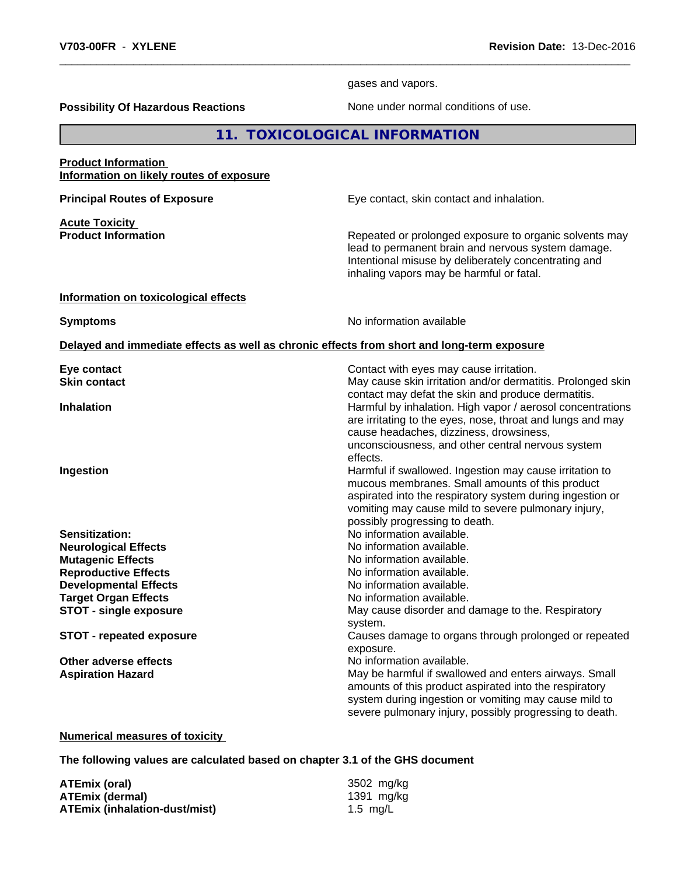gases and vapors.

**Possibility Of Hazardous Reactions** None under normal conditions of use.

**11. TOXICOLOGICAL INFORMATION**

## **Product Information Information on likely routes of exposure**

**Acute Toxicity<br>Product Information** 

**Principal Routes of Exposure Exposure** Eye contact, skin contact and inhalation.

Repeated or prolonged exposure to organic solvents may lead to permanent brain and nervous system damage. Intentional misuse by deliberately concentrating and inhaling vapors may be harmful or fatal.

## **Information on toxicological effects**

**Symptoms** No information available

#### **Delayed and immediate effects as well as chronic effects from short and long-term exposure**

| Eye contact                     | Contact with eyes may cause irritation.                                                                                  |
|---------------------------------|--------------------------------------------------------------------------------------------------------------------------|
| <b>Skin contact</b>             | May cause skin irritation and/or dermatitis. Prolonged skin<br>contact may defat the skin and produce dermatitis.        |
| <b>Inhalation</b>               | Harmful by inhalation. High vapor / aerosol concentrations<br>are irritating to the eyes, nose, throat and lungs and may |
|                                 | cause headaches, dizziness, drowsiness,<br>unconsciousness, and other central nervous system                             |
|                                 | effects.                                                                                                                 |
| Ingestion                       | Harmful if swallowed. Ingestion may cause irritation to                                                                  |
|                                 | mucous membranes. Small amounts of this product                                                                          |
|                                 | aspirated into the respiratory system during ingestion or                                                                |
|                                 | vomiting may cause mild to severe pulmonary injury,                                                                      |
|                                 | possibly progressing to death.                                                                                           |
| Sensitization:                  | No information available.                                                                                                |
| <b>Neurological Effects</b>     | No information available.                                                                                                |
| <b>Mutagenic Effects</b>        | No information available.                                                                                                |
| <b>Reproductive Effects</b>     | No information available.                                                                                                |
| <b>Developmental Effects</b>    | No information available.                                                                                                |
| <b>Target Organ Effects</b>     | No information available.                                                                                                |
| <b>STOT - single exposure</b>   | May cause disorder and damage to the. Respiratory                                                                        |
|                                 | system.                                                                                                                  |
| <b>STOT - repeated exposure</b> | Causes damage to organs through prolonged or repeated<br>exposure.                                                       |
| Other adverse effects           | No information available.                                                                                                |
| <b>Aspiration Hazard</b>        | May be harmful if swallowed and enters airways. Small<br>amounts of this product aspirated into the respiratory          |
|                                 | system during ingestion or vomiting may cause mild to<br>severe pulmonary injury, possibly progressing to death.         |

## **Numerical measures of toxicity**

**The following values are calculated based on chapter 3.1 of the GHS document**

**ATEmix (oral)** 3502 mg/kg **ATEmix (dermal)** 1391 mg/kg **ATEmix (inhalation-dust/mist)** 1.5 mg/L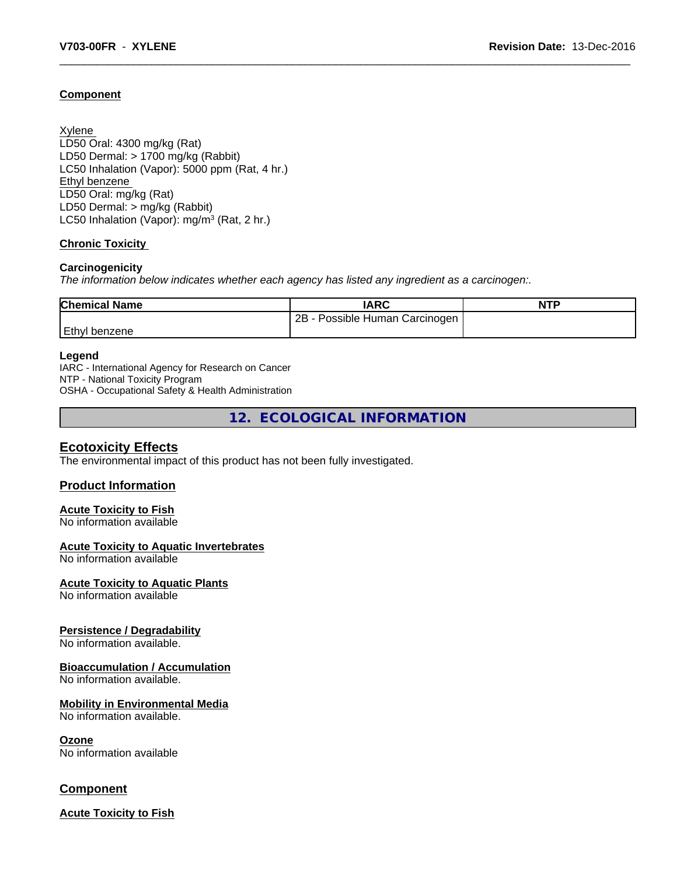## **Component**

Xylene LD50 Oral: 4300 mg/kg (Rat) LD50 Dermal: > 1700 mg/kg (Rabbit) LC50 Inhalation (Vapor): 5000 ppm (Rat, 4 hr.) Ethyl benzene LD50 Oral: mg/kg (Rat) LD50 Dermal: > mg/kg (Rabbit) LC50 Inhalation (Vapor): mg/m<sup>3</sup> (Rat, 2 hr.)

## **Chronic Toxicity**

## **Carcinogenicity**

*The information below indicateswhether each agency has listed any ingredient as a carcinogen:.*

| <b>Chemical Name</b> | <b>IARC</b>                     | <b>NTP</b> |
|----------------------|---------------------------------|------------|
|                      | 2B<br>Possible Human Carcinogen |            |
| <b>Ethyl benzene</b> |                                 |            |

#### **Legend**

IARC - International Agency for Research on Cancer NTP - National Toxicity Program OSHA - Occupational Safety & Health Administration

**12. ECOLOGICAL INFORMATION**

## **Ecotoxicity Effects**

The environmental impact of this product has not been fully investigated.

## **Product Information**

## **Acute Toxicity to Fish**

No information available

## **Acute Toxicity to Aquatic Invertebrates**

No information available

## **Acute Toxicity to Aquatic Plants**

No information available

## **Persistence / Degradability**

No information available.

## **Bioaccumulation / Accumulation**

No information available.

## **Mobility in Environmental Media**

No information available.

#### **Ozone**

No information available

## **Component**

**Acute Toxicity to Fish**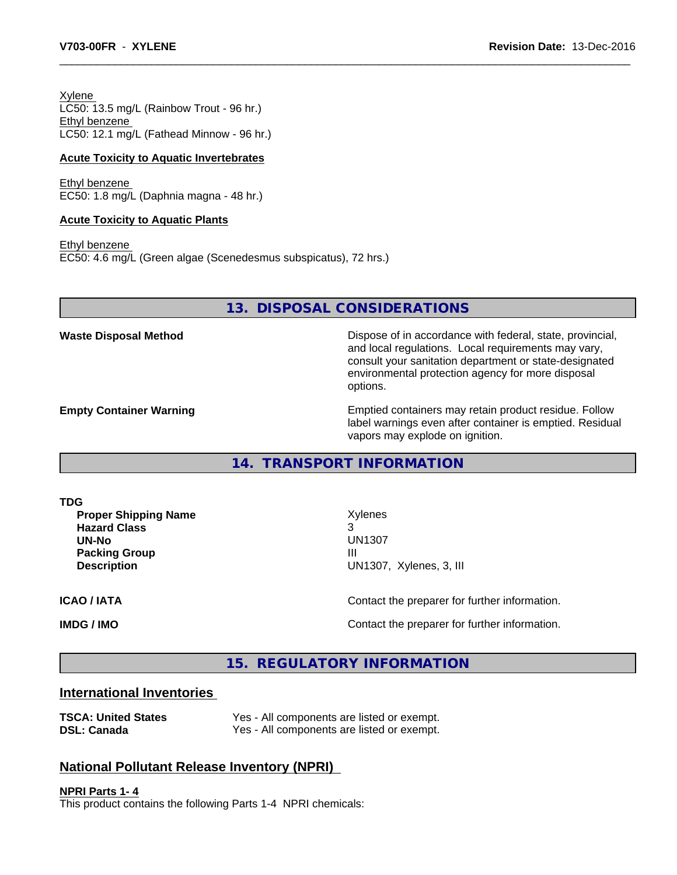Xylene LC50: 13.5 mg/L (Rainbow Trout - 96 hr.) Ethyl benzene LC50: 12.1 mg/L (Fathead Minnow - 96 hr.)

## **Acute Toxicity to Aquatic Invertebrates**

Ethyl benzene EC50: 1.8 mg/L (Daphnia magna - 48 hr.)

#### **Acute Toxicity to Aquatic Plants**

Ethyl benzene EC50: 4.6 mg/L (Green algae (Scenedesmus subspicatus), 72 hrs.)

**13. DISPOSAL CONSIDERATIONS**

**Waste Disposal Method Dispose of in accordance with federal, state, provincial,** and local regulations. Local requirements may vary, consult your sanitation department or state-designated environmental protection agency for more disposal options.

**Empty Container Warning <b>Emptied** Containers may retain product residue. Follow label warnings even after container is emptied. Residual vapors may explode on ignition.

**14. TRANSPORT INFORMATION**

**TDG**

**Proper Shipping Name** Xylenes **Hazard Class** 3 **Packing Group III Description** UN1307, Xylenes, 3, III

**UN-No** UN1307

**ICAO / IATA** Contact the preparer for further information.

**IMDG / IMO IMO Contact the preparer for further information.** 

## **15. REGULATORY INFORMATION**

## **International Inventories**

| <b>TSCA: United States</b> | Yes - All components are listed or exempt. |
|----------------------------|--------------------------------------------|
| <b>DSL: Canada</b>         | Yes - All components are listed or exempt. |

# **National Pollutant Release Inventory (NPRI)**

**NPRI Parts 1- 4** This product contains the following Parts 1-4 NPRI chemicals: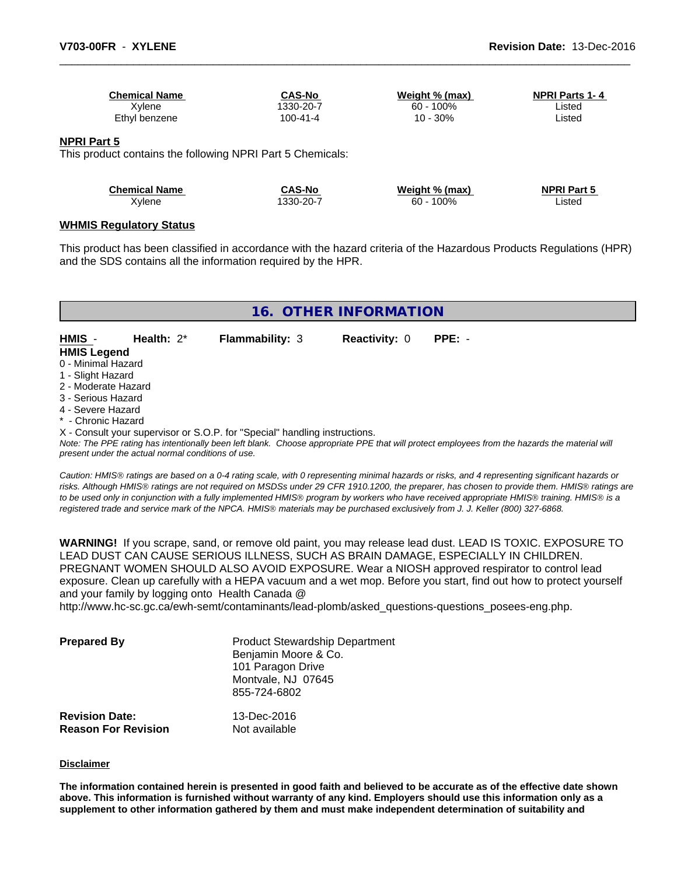| <b>Chemical Name</b> | <b>CAS-No</b> | Weight % (max) | NPRI Parts 1-4 |
|----------------------|---------------|----------------|----------------|
| Xvlene               | 1330-20-7     | $60 - 100\%$   | ∟isted         |
| Ethyl benzene        | 100-41-4      | 10 - 30%       | ∟isted         |
|                      |               |                |                |

#### **NPRI Part 5**

This product contains the following NPRI Part 5 Chemicals:

| <b>Chemical Name</b> | CAS-No    | Weight % (max) | <b>NPRI Part 5</b> |
|----------------------|-----------|----------------|--------------------|
| Xylene               | 1330-20-7 | 100%<br>60 -   | ∟isted             |
|                      |           |                |                    |

#### **WHMIS Regulatory Status**

This product has been classified in accordance with the hazard criteria of the Hazardous Products Regulations (HPR) and the SDS contains all the information required by the HPR.

| 16. OTHER INFORMATION                                                      |                        |                      |                                                                                                                                               |  |  |  |  |
|----------------------------------------------------------------------------|------------------------|----------------------|-----------------------------------------------------------------------------------------------------------------------------------------------|--|--|--|--|
| HMIS<br>Health: $2^*$<br><b>HMIS Legend</b>                                | <b>Flammability: 3</b> | <b>Reactivity: 0</b> | $PPE: -$                                                                                                                                      |  |  |  |  |
| 0 - Minimal Hazard                                                         |                        |                      |                                                                                                                                               |  |  |  |  |
| 1 - Slight Hazard                                                          |                        |                      |                                                                                                                                               |  |  |  |  |
| 2 - Moderate Hazard                                                        |                        |                      |                                                                                                                                               |  |  |  |  |
| 3 - Serious Hazard                                                         |                        |                      |                                                                                                                                               |  |  |  |  |
| 4 - Severe Hazard                                                          |                        |                      |                                                                                                                                               |  |  |  |  |
| * - Chronic Hazard                                                         |                        |                      |                                                                                                                                               |  |  |  |  |
| X - Consult your supervisor or S.O.P. for "Special" handling instructions. |                        |                      |                                                                                                                                               |  |  |  |  |
|                                                                            |                        |                      | Note: The PPE rating has intentionally been left blank. Choose appropriate PPE that will protect employees from the hazards the material will |  |  |  |  |

*present under the actual normal conditions of use.*

*Caution: HMISÒ ratings are based on a 0-4 rating scale, with 0 representing minimal hazards or risks, and 4 representing significant hazards or risks. Although HMISÒ ratings are not required on MSDSs under 29 CFR 1910.1200, the preparer, has chosen to provide them. HMISÒ ratings are to be used only in conjunction with a fully implemented HMISÒ program by workers who have received appropriate HMISÒ training. HMISÒ is a registered trade and service mark of the NPCA. HMISÒ materials may be purchased exclusively from J. J. Keller (800) 327-6868.*

**WARNING!** If you scrape, sand, or remove old paint, you may release lead dust. LEAD IS TOXIC. EXPOSURE TO LEAD DUST CAN CAUSE SERIOUS ILLNESS, SUCH AS BRAIN DAMAGE, ESPECIALLY IN CHILDREN. PREGNANT WOMEN SHOULD ALSO AVOID EXPOSURE.Wear a NIOSH approved respirator to control lead exposure. Clean up carefully with a HEPA vacuum and a wet mop. Before you start, find out how to protect yourself and your family by logging onto Health Canada @

http://www.hc-sc.gc.ca/ewh-semt/contaminants/lead-plomb/asked\_questions-questions\_posees-eng.php.

| <b>Prepared By</b>                                  | <b>Product Stewardship Department</b><br>Benjamin Moore & Co.<br>101 Paragon Drive<br>Montvale, NJ 07645<br>855-724-6802 |  |
|-----------------------------------------------------|--------------------------------------------------------------------------------------------------------------------------|--|
| <b>Revision Date:</b><br><b>Reason For Revision</b> | 13-Dec-2016<br>Not available                                                                                             |  |

#### **Disclaimer**

The information contained herein is presented in good faith and believed to be accurate as of the effective date shown above. This information is furnished without warranty of any kind. Employers should use this information only as a **supplement to other information gathered by them and must make independent determination of suitability and**